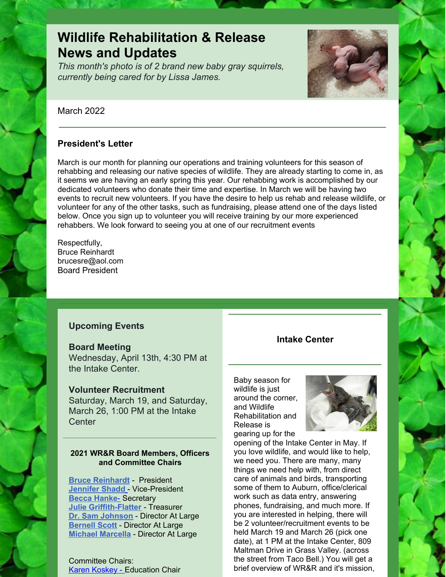# **Wildlife Rehabilitation & Release News and Updates**

*This month's photo is of 2 brand new baby gray squirrels, currently being cared for by Lissa James.*



March 2022

## **President's Letter**

March is our month for planning our operations and training volunteers for this season of rehabbing and releasing our native species of wildlife. They are already starting to come in, as it seems we are having an early spring this year. Our rehabbing work is accomplished by our dedicated volunteers who donate their time and expertise. In March we will be having two events to recruit new volunteers. If you have the desire to help us rehab and release wildlife, or volunteer for any of the other tasks, such as fundraising, please attend one of the days listed below. Once you sign up to volunteer you will receive training by our more experienced rehabbers. We look forward to seeing you at one of our recruitment events

Respectfully, Bruce Reinhardt brucesre@aol.com Board President

## **Upcoming Events**

#### **Board Meeting**

Wednesday, April 13th, 4:30 PM at the Intake Center.

### **Volunteer Recruitment**

Saturday, March 19, and Saturday, March 26, 1:00 PM at the Intake **Center** 

#### **2021 WR&R Board Members, Officers and Committee Chairs**

**Bruce [Reinhardt](mailto:brucesre@aol.com)** - President **[Jennifer](mailto:JLShadd@comcast.net) Shad[d](mailto:tomatowazoo@yahoo.com)** - Vice-President **Becca Hanke**[-](mailto:mlypeterson@comcast.net) Secretary **Julie [Griffith-Flatter](mailto:jlgriff@att.net)** - Treasurer **Dr. Sam Johnson** - Director At Large **[Bernell](mailto:bsscott1@comcast.net) Scott** - Director At Large **Michael [Marcella](mailto:tomatowazoo@yahoo.com)** - Director At Large

Committee Chairs: Karen [Koskey](mailto:kkosk6565@gmail.com) - Education Chair

### **Intake Center**

Baby season for wildlife is just around the corner, and Wildlife Rehabilitation and Release is gearing up for the



opening of the Intake Center in May. If you love wildlife, and would like to help, we need you. There are many, many things we need help with, from direct care of animals and birds, transporting some of them to Auburn, office/clerical work such as data entry, answering phones, fundraising, and much more. If you are interested in helping, there will be 2 volunteer/recruitment events to be held March 19 and March 26 (pick one date), at 1 PM at the Intake Center, 809 Maltman Drive in Grass Valley. (across the street from Taco Bell.) You will get a brief overview of WR&R and it's mission,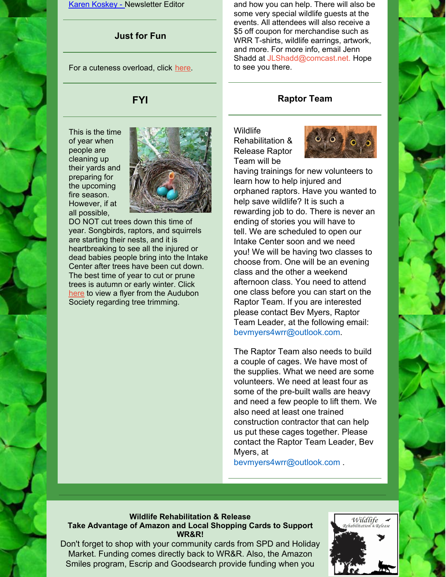Karen [Koskey](mailto:kkosk6565@gmail.com) - Newsletter Editor

# **Just for Fun**

For a cuteness overload, click [here](https://www.facebook.com/Birds.Lovers.1/videos/926317780780713).

# **FYI**

This is the time of year when people are cleaning up their yards and preparing for the upcoming fire season. However, if at all possible,



DO NOT cut trees down this time of year. Songbirds, raptors, and squirrels are starting their nests, and it is heartbreaking to see all the injured or dead babies people bring into the Intake Center after trees have been cut down. The best time of year to cut or prune trees is autumn or early winter. Click [here](https://www.seaandsageaudubon.org/Conservation/TreeTrimming/Flyer2.pdf) to view a flyer from the Audubon Society regarding tree trimming.

and how you can help. There will also be some very special wildlife guests at the events. All attendees will also receive a \$5 off coupon for merchandise such as WRR T-shirts, wildlife earrings, artwork, and more. For more info, email Jenn Shadd at [JLShadd@comcast.net](mailto:JLShadd@comcast.net). Hope to see you there.

# **Raptor Team**

**Wildlife** Rehabilitation & Release Raptor Team will be



having trainings for new volunteers to learn how to help injured and orphaned raptors. Have you wanted to help save wildlife? It is such a rewarding job to do. There is never an ending of stories you will have to tell. We are scheduled to open our Intake Center soon and we need you! We will be having two classes to choose from. One will be an evening class and the other a weekend afternoon class. You need to attend one class before you can start on the Raptor Team. If you are interested please contact Bev Myers, Raptor Team Leader, at the following email: [bevmyers4wrr@outlook.com](mailto:bevmyers4wrr@outlook.com).

The Raptor Team also needs to build a couple of cages. We have most of the supplies. What we need are some volunteers. We need at least four as some of the pre-built walls are heavy and need a few people to lift them. We also need at least one trained construction contractor that can help us put these cages together. Please contact the Raptor Team Leader, Bev Myers, at

[bevmyers4wrr@outlook.com](mailto:bevmyers4wrr@outlook.com) .

#### **Wildlife Rehabilitation & Release Take Advantage of Amazon and Local Shopping Cards to Support WR&R!**

Don't forget to shop with your community cards from SPD and Holiday Market. Funding comes directly back to WR&R. Also, the Amazon Smiles program, Escrip and Goodsearch provide funding when you